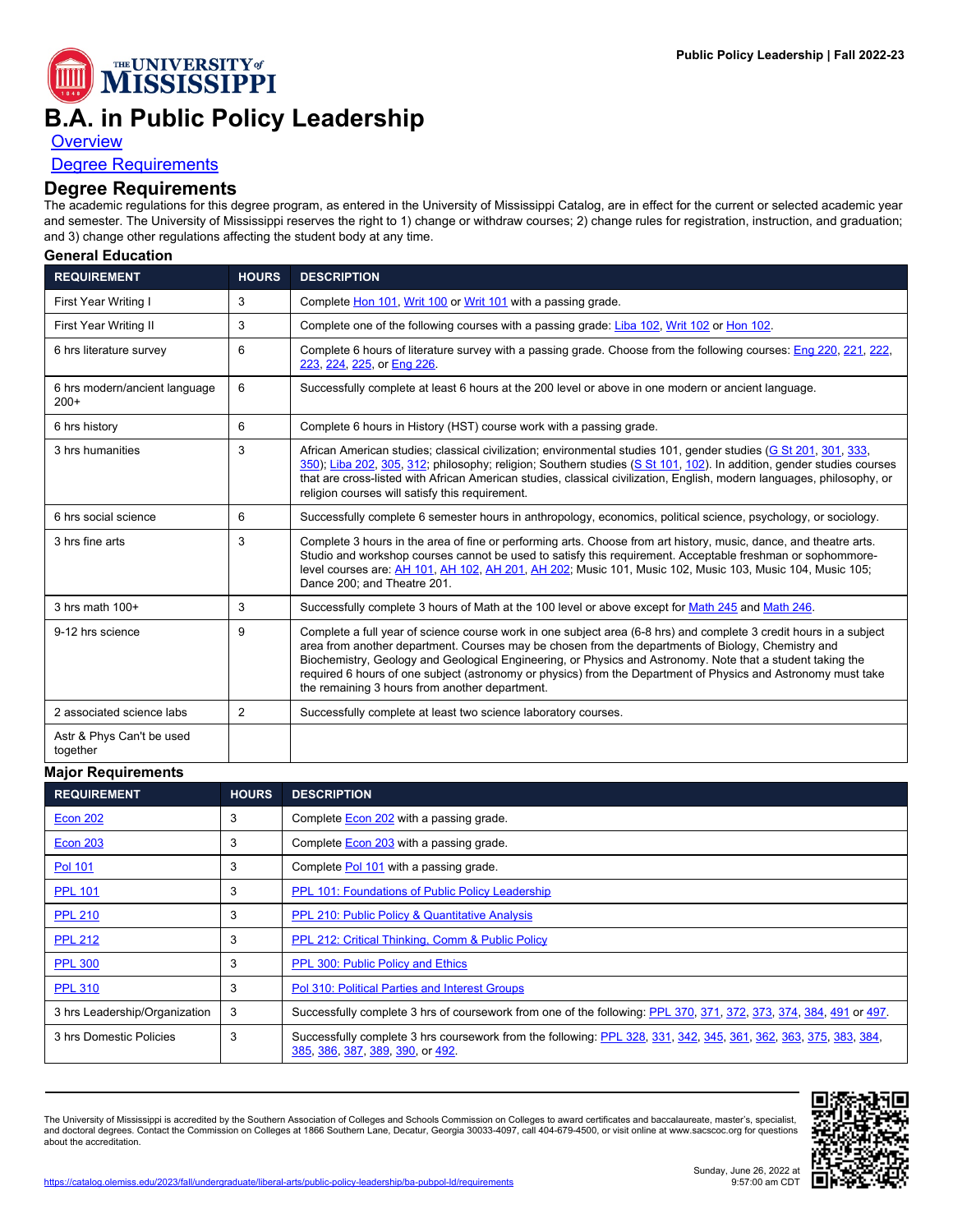

## **B.A. in Public Policy Leadership**

**[Overview](https://catalog.olemiss.edu/liberal-arts/public-policy-leadership/ba-pubpol-ld)** 

## [Degree Requirements](https://catalog.olemiss.edu/liberal-arts/public-policy-leadership/ba-pubpol-ld/requirements)

## **Degree Requirements**

The academic regulations for this degree program, as entered in the University of Mississippi Catalog, are in effect for the current or selected academic year and semester. The University of Mississippi reserves the right to 1) change or withdraw courses; 2) change rules for registration, instruction, and graduation; and 3) change other regulations affecting the student body at any time.

**General Education**

| <b>REQUIREMENT</b>                      | <b>HOURS</b>   | <b>DESCRIPTION</b>                                                                                                                                                                                                                                                                                                                                                                                                                                                                                        |
|-----------------------------------------|----------------|-----------------------------------------------------------------------------------------------------------------------------------------------------------------------------------------------------------------------------------------------------------------------------------------------------------------------------------------------------------------------------------------------------------------------------------------------------------------------------------------------------------|
| First Year Writing I                    | 3              | Complete Hon 101, Writ 100 or Writ 101 with a passing grade.                                                                                                                                                                                                                                                                                                                                                                                                                                              |
| First Year Writing II                   | 3              | Complete one of the following courses with a passing grade: Liba 102, Writ 102 or Hon 102.                                                                                                                                                                                                                                                                                                                                                                                                                |
| 6 hrs literature survey                 | 6              | Complete 6 hours of literature survey with a passing grade. Choose from the following courses: Eng 220, 221, 222,<br>223, 224, 225, or Eng 226.                                                                                                                                                                                                                                                                                                                                                           |
| 6 hrs modern/ancient language<br>$200+$ | 6              | Successfully complete at least 6 hours at the 200 level or above in one modern or ancient language.                                                                                                                                                                                                                                                                                                                                                                                                       |
| 6 hrs history                           | 6              | Complete 6 hours in History (HST) course work with a passing grade.                                                                                                                                                                                                                                                                                                                                                                                                                                       |
| 3 hrs humanities                        | 3              | African American studies; classical civilization; environmental studies 101, gender studies (G St 201, 301, 333,<br>350); Liba 202, 305, 312; philosophy; religion; Southern studies (S St 101, 102). In addition, gender studies courses<br>that are cross-listed with African American studies, classical civilization, English, modern languages, philosophy, or<br>religion courses will satisfy this requirement.                                                                                    |
| 6 hrs social science                    | 6              | Successfully complete 6 semester hours in anthropology, economics, political science, psychology, or sociology.                                                                                                                                                                                                                                                                                                                                                                                           |
| 3 hrs fine arts                         | 3              | Complete 3 hours in the area of fine or performing arts. Choose from art history, music, dance, and theatre arts.<br>Studio and workshop courses cannot be used to satisfy this requirement. Acceptable freshman or sophommore-<br>level courses are: AH 101, AH 102, AH 201, AH 202; Music 101, Music 102, Music 103, Music 104, Music 105;<br>Dance 200; and Theatre 201.                                                                                                                               |
| $3$ hrs math $100+$                     | 3              | Successfully complete 3 hours of Math at the 100 level or above except for Math 245 and Math 246.                                                                                                                                                                                                                                                                                                                                                                                                         |
| 9-12 hrs science                        | 9              | Complete a full year of science course work in one subject area (6-8 hrs) and complete 3 credit hours in a subject<br>area from another department. Courses may be chosen from the departments of Biology, Chemistry and<br>Biochemistry, Geology and Geological Engineering, or Physics and Astronomy. Note that a student taking the<br>required 6 hours of one subject (astronomy or physics) from the Department of Physics and Astronomy must take<br>the remaining 3 hours from another department. |
| 2 associated science labs               | $\overline{2}$ | Successfully complete at least two science laboratory courses.                                                                                                                                                                                                                                                                                                                                                                                                                                            |
| Astr & Phys Can't be used<br>together   |                |                                                                                                                                                                                                                                                                                                                                                                                                                                                                                                           |

## **Major Requirements**

| <b>REQUIREMENT</b>            | <b>HOURS</b> | <b>DESCRIPTION</b>                                                                                                                                   |
|-------------------------------|--------------|------------------------------------------------------------------------------------------------------------------------------------------------------|
| Econ 202                      | 3            | Complete <b>Econ 202</b> with a passing grade.                                                                                                       |
| <b>Econ 203</b>               | 3            | Complete <b>Econ 203</b> with a passing grade.                                                                                                       |
| <b>Pol 101</b>                | 3            | Complete Pol 101 with a passing grade.                                                                                                               |
| <b>PPL 101</b>                | 3            | PPL 101: Foundations of Public Policy Leadership                                                                                                     |
| <b>PPL 210</b>                | 3            | PPL 210: Public Policy & Quantitative Analysis                                                                                                       |
| <b>PPL 212</b>                | 3            | PPL 212: Critical Thinking, Comm & Public Policy                                                                                                     |
| <b>PPL 300</b>                | 3            | <b>PPL 300: Public Policy and Ethics</b>                                                                                                             |
| <b>PPL 310</b>                | 3            | Pol 310: Political Parties and Interest Groups                                                                                                       |
| 3 hrs Leadership/Organization | 3            | Successfully complete 3 hrs of coursework from one of the following: PPL 370, 371, 372, 373, 374, 384, 491 or 497.                                   |
| 3 hrs Domestic Policies       | 3            | Successfully complete 3 hrs coursework from the following: PPL 328, 331, 342, 345, 361, 362, 363, 375, 383, 384,<br>385, 386, 387, 389, 390, or 492. |

The University of Mississippi is accredited by the Southern Association of Colleges and Schools Commission on Colleges to award certificates and baccalaureate, master's, specialist,<br>and doctoral degrees. Contact the Commis about the accreditation.